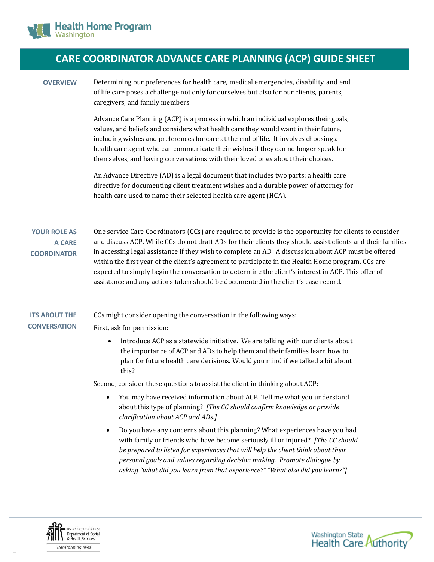

## **CARE COORDINATOR ADVANCE CARE PLANNING (ACP) GUIDE SHEET**

**OVERVIEW** Determining our preferences for health care, medical emergencies, disability, and end of life care poses a challenge not only for ourselves but also for our clients, parents, caregivers, and family members.

> Advance Care Planning (ACP) is a process in which an individual explores their goals, values, and beliefs and considers what health care they would want in their future, including wishes and preferences for care at the end of life. It involves choosing a health care agent who can communicate their wishes if they can no longer speak for themselves, and having conversations with their loved ones about their choices.

An Advance Directive (AD) is a legal document that includes two parts: a health care directive for documenting client treatment wishes and a durable power of attorney for health care used to name their selected health care agent (HCA).

**YOUR ROLE AS A CARE COORDINATOR** One service Care Coordinators (CCs) are required to provide is the opportunity for clients to consider and discuss ACP. While CCs do not draft ADs for their clients they should assist clients and their families in accessing legal assistance if they wish to complete an AD. A discussion about ACP must be offered within the first year of the client's agreement to participate in the Health Home program. CCs are expected to simply begin the conversation to determine the client's interest in ACP. This offer of assistance and any actions taken should be documented in the client's case record.

## **ITS ABOUT THE**  CCs might consider opening the conversation in the following ways:

## **CONVERSATION**

First, ask for permission:

 Introduce ACP as a statewide initiative. We are talking with our clients about the importance of ACP and ADs to help them and their families learn how to plan for future health care decisions. Would you mind if we talked a bit about this?

Second, consider these questions to assist the client in thinking about ACP:

- You may have received information about ACP. Tell me what you understand about this type of planning? *[The CC should confirm knowledge or provide clarification about ACP and ADs.]*
- Do you have any concerns about this planning? What experiences have you had with family or friends who have become seriously ill or injured? *[The CC should be prepared to listen for experiences that will help the client think about their personal goals and values regarding decision making. Promote dialogue by asking "what did you learn from that experience?" "What else did you learn?"]*